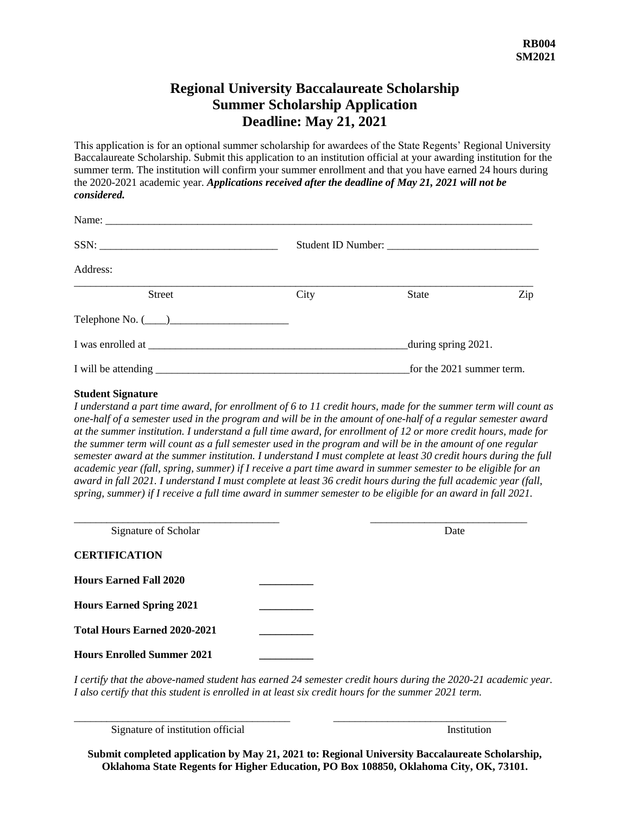## **Regional University Baccalaureate Scholarship Summer Scholarship Application Deadline: May 21, 2021**

This application is for an optional summer scholarship for awardees of the State Regents' Regional University Baccalaureate Scholarship. Submit this application to an institution official at your awarding institution for the summer term. The institution will confirm your summer enrollment and that you have earned 24 hours during the 2020-2021 academic year. *Applications received after the deadline of May 21, 2021 will not be considered.*

| Name:                  |      |                           |                     |  |
|------------------------|------|---------------------------|---------------------|--|
|                        |      |                           |                     |  |
| Address:               |      |                           |                     |  |
| <b>Street</b>          | City | State                     | Zip                 |  |
| Telephone No. $(\_\_)$ |      |                           |                     |  |
|                        |      |                           | during spring 2021. |  |
| I will be attending    |      | for the 2021 summer term. |                     |  |

#### **Student Signature**

*I understand a part time award, for enrollment of 6 to 11 credit hours, made for the summer term will count as one-half of a semester used in the program and will be in the amount of one-half of a regular semester award at the summer institution. I understand a full time award, for enrollment of 12 or more credit hours, made for the summer term will count as a full semester used in the program and will be in the amount of one regular semester award at the summer institution. I understand I must complete at least 30 credit hours during the full academic year (fall, spring, summer) if I receive a part time award in summer semester to be eligible for an award in fall 2021. I understand I must complete at least 36 credit hours during the full academic year (fall, spring, summer) if I receive a full time award in summer semester to be eligible for an award in fall 2021.* 

| Signature of Scholar                | Date |  |
|-------------------------------------|------|--|
| <b>CERTIFICATION</b>                |      |  |
| <b>Hours Earned Fall 2020</b>       |      |  |
| <b>Hours Earned Spring 2021</b>     |      |  |
| <b>Total Hours Earned 2020-2021</b> |      |  |
| <b>Hours Enrolled Summer 2021</b>   |      |  |

*I certify that the above-named student has earned 24 semester credit hours during the 2020-21 academic year. I also certify that this student is enrolled in at least six credit hours for the summer 2021 term.*

\_\_\_\_\_\_\_\_\_\_\_\_\_\_\_\_\_\_\_\_\_\_\_\_\_\_\_\_\_\_\_\_\_\_\_\_\_\_\_\_ \_\_\_\_\_\_\_\_\_\_\_\_\_\_\_\_\_\_\_\_\_\_\_\_\_\_\_\_\_\_\_\_

Signature of institution official Institution

**Submit completed application by May 21, 2021 to: Regional University Baccalaureate Scholarship, Oklahoma State Regents for Higher Education, PO Box 108850, Oklahoma City, OK, 73101.**